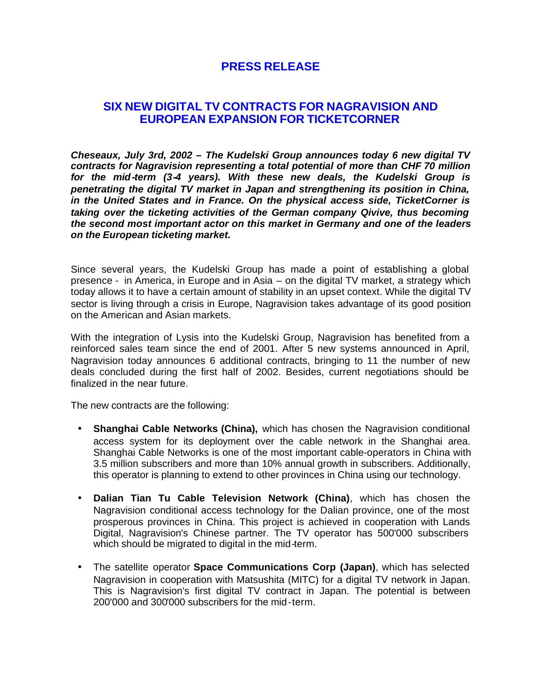## **PRESS RELEASE**

## **SIX NEW DIGITAL TV CONTRACTS FOR NAGRAVISION AND EUROPEAN EXPANSION FOR TICKETCORNER**

*Cheseaux, July 3rd, 2002 – The Kudelski Group announces today 6 new digital TV contracts for Nagravision representing a total potential of more than CHF 70 million for the mid-term (3-4 years). With these new deals, the Kudelski Group is penetrating the digital TV market in Japan and strengthening its position in China, in the United States and in France. On the physical access side, TicketCorner is taking over the ticketing activities of the German company Qivive, thus becoming the second most important actor on this market in Germany and one of the leaders on the European ticketing market.* 

Since several years, the Kudelski Group has made a point of establishing a global presence - in America, in Europe and in Asia – on the digital TV market, a strategy which today allows it to have a certain amount of stability in an upset context. While the digital TV sector is living through a crisis in Europe, Nagravision takes advantage of its good position on the American and Asian markets.

With the integration of Lysis into the Kudelski Group, Nagravision has benefited from a reinforced sales team since the end of 2001. After 5 new systems announced in April, Nagravision today announces 6 additional contracts, bringing to 11 the number of new deals concluded during the first half of 2002. Besides, current negotiations should be finalized in the near future.

The new contracts are the following:

- **Shanghai Cable Networks (China),** which has chosen the Nagravision conditional access system for its deployment over the cable network in the Shanghai area. Shanghai Cable Networks is one of the most important cable-operators in China with 3.5 million subscribers and more than 10% annual growth in subscribers. Additionally, this operator is planning to extend to other provinces in China using our technology.
- **Dalian Tian Tu Cable Television Network (China)**, which has chosen the Nagravision conditional access technology for the Dalian province, one of the most prosperous provinces in China. This project is achieved in cooperation with Lands Digital, Nagravision's Chinese partner. The TV operator has 500'000 subscribers which should be migrated to digital in the mid-term.
- The satellite operator **Space Communications Corp (Japan)**, which has selected Nagravision in cooperation with Matsushita (MITC) for a digital TV network in Japan. This is Nagravision's first digital TV contract in Japan. The potential is between 200'000 and 300'000 subscribers for the mid-term.